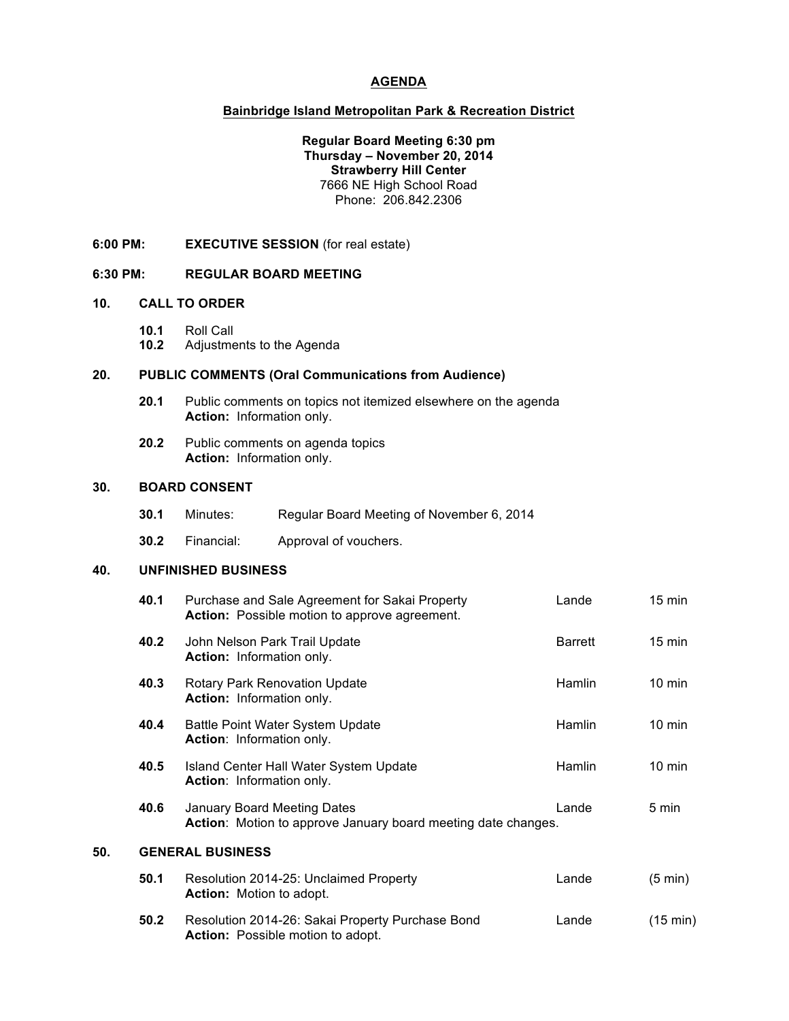## **AGENDA**

## **Bainbridge Island Metropolitan Park & Recreation District**

## **Regular Board Meeting 6:30 pm Thursday – November 20, 2014 Strawberry Hill Center** 7666 NE High School Road Phone: 206.842.2306

**6:00 PM: EXECUTIVE SESSION** (for real estate)

## **6:30 PM: REGULAR BOARD MEETING**

#### **10. CALL TO ORDER**

- **10.1** Roll Call
- **10.2** Adjustments to the Agenda

# **20. PUBLIC COMMENTS (Oral Communications from Audience)**

- **20.1** Public comments on topics not itemized elsewhere on the agenda **Action:** Information only.
- **20.2** Public comments on agenda topics **Action:** Information only.

#### **30. BOARD CONSENT**

| 30.1 | Minutes: | Regular Board Meeting of November 6, 2014 |  |
|------|----------|-------------------------------------------|--|
|      |          |                                           |  |

**30.2** Financial: Approval of vouchers.

## **40. UNFINISHED BUSINESS**

|     | 40.1 | Purchase and Sale Agreement for Sakai Property<br><b>Action:</b> Possible motion to approve agreement. | Lande          | $15 \text{ min}$  |  |  |  |  |
|-----|------|--------------------------------------------------------------------------------------------------------|----------------|-------------------|--|--|--|--|
|     | 40.2 | John Nelson Park Trail Update<br><b>Action:</b> Information only.                                      | <b>Barrett</b> | $15 \text{ min}$  |  |  |  |  |
|     | 40.3 | <b>Rotary Park Renovation Update</b><br><b>Action:</b> Information only.                               | Hamlin         | $10 \text{ min}$  |  |  |  |  |
|     | 40.4 | Battle Point Water System Update<br><b>Action:</b> Information only.                                   | Hamlin         | $10 \text{ min}$  |  |  |  |  |
|     | 40.5 | Island Center Hall Water System Update<br><b>Action: Information only.</b>                             | Hamlin         | $10 \text{ min}$  |  |  |  |  |
|     | 40.6 | <b>January Board Meeting Dates</b><br>Action: Motion to approve January board meeting date changes.    | Lande          | 5 min             |  |  |  |  |
| 50. |      | <b>GENERAL BUSINESS</b>                                                                                |                |                   |  |  |  |  |
|     | 50.1 | Resolution 2014-25: Unclaimed Property<br><b>Action:</b> Motion to adopt.                              | Lande          | $(5 \text{ min})$ |  |  |  |  |
|     | 50.2 | Resolution 2014-26: Sakai Property Purchase Bond<br><b>Action:</b> Possible motion to adopt.           | Lande          | (15 min)          |  |  |  |  |